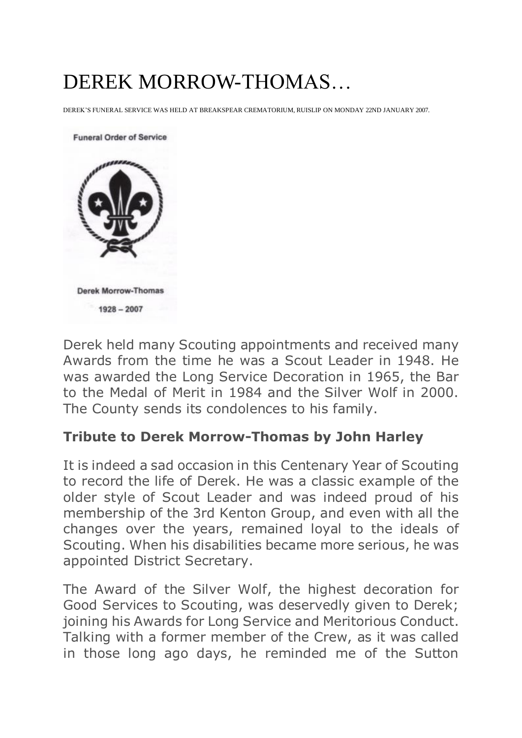## DEREK MORROW-THOMAS…

DEREK'S FUNERAL SERVICE WAS HELD AT BREAKSPEAR CREMATORIUM, RUISLIP ON MONDAY 22ND JANUARY 2007.



Derek held many Scouting appointments and received many Awards from the time he was a Scout Leader in 1948. He was awarded the Long Service Decoration in 1965, the Bar to the Medal of Merit in 1984 and the Silver Wolf in 2000. The County sends its condolences to his family.

## **Tribute to Derek Morrow-Thomas by John Harley**

It is indeed a sad occasion in this Centenary Year of Scouting to record the life of Derek. He was a classic example of the older style of Scout Leader and was indeed proud of his membership of the 3rd Kenton Group, and even with all the changes over the years, remained loyal to the ideals of Scouting. When his disabilities became more serious, he was appointed District Secretary.

The Award of the Silver Wolf, the highest decoration for Good Services to Scouting, was deservedly given to Derek; joining his Awards for Long Service and Meritorious Conduct. Talking with a former member of the Crew, as it was called in those long ago days, he reminded me of the Sutton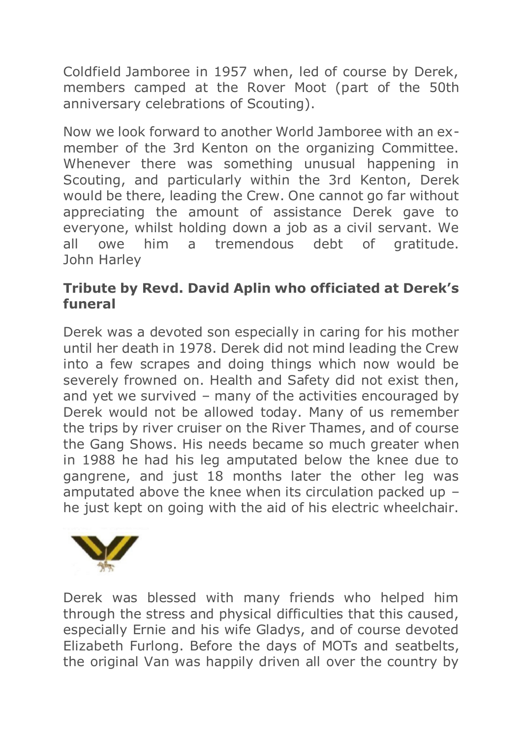Coldfield Jamboree in 1957 when, led of course by Derek, members camped at the Rover Moot (part of the 50th anniversary celebrations of Scouting).

Now we look forward to another World Jamboree with an exmember of the 3rd Kenton on the organizing Committee. Whenever there was something unusual happening in Scouting, and particularly within the 3rd Kenton, Derek would be there, leading the Crew. One cannot go far without appreciating the amount of assistance Derek gave to everyone, whilst holding down a job as a civil servant. We all owe him a tremendous debt of gratitude. John Harley

## **Tribute by Revd. David Aplin who officiated at Derek's funeral**

Derek was a devoted son especially in caring for his mother until her death in 1978. Derek did not mind leading the Crew into a few scrapes and doing things which now would be severely frowned on. Health and Safety did not exist then, and yet we survived – many of the activities encouraged by Derek would not be allowed today. Many of us remember the trips by river cruiser on the River Thames, and of course the Gang Shows. His needs became so much greater when in 1988 he had his leg amputated below the knee due to gangrene, and just 18 months later the other leg was amputated above the knee when its circulation packed up – he just kept on going with the aid of his electric wheelchair.



Derek was blessed with many friends who helped him through the stress and physical difficulties that this caused, especially Ernie and his wife Gladys, and of course devoted Elizabeth Furlong. Before the days of MOTs and seatbelts, the original Van was happily driven all over the country by